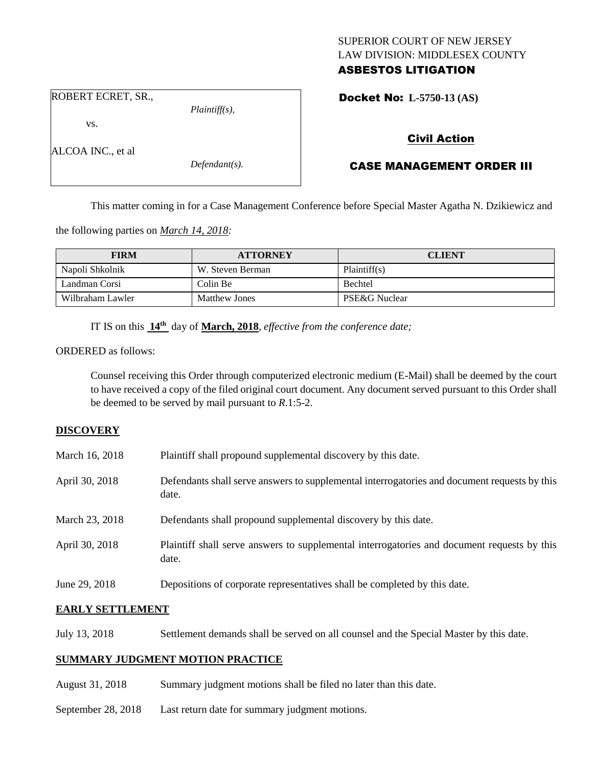## SUPERIOR COURT OF NEW JERSEY LAW DIVISION: MIDDLESEX COUNTY ASBESTOS LITIGATION

ROBERT ECRET, SR.,

vs.

ALCOA INC., et al

*Defendant(s).*

*Plaintiff(s),*

Docket No: **L-5750-13 (AS)** 

# Civil Action

## CASE MANAGEMENT ORDER III

This matter coming in for a Case Management Conference before Special Master Agatha N. Dzikiewicz and

the following parties on *March 14, 2018:*

| <b>FIRM</b>      | <b>ATTORNEY</b>      | <b>CLIENT</b>  |
|------------------|----------------------|----------------|
| Napoli Shkolnik  | W. Steven Berman     | Plaintiff(s)   |
| Landman Corsi    | Colin Be             | <b>Bechtel</b> |
| Wilbraham Lawler | <b>Matthew Jones</b> | PSE&G Nuclear  |

IT IS on this **14th** day of **March, 2018**, *effective from the conference date;*

ORDERED as follows:

Counsel receiving this Order through computerized electronic medium (E-Mail) shall be deemed by the court to have received a copy of the filed original court document. Any document served pursuant to this Order shall be deemed to be served by mail pursuant to *R*.1:5-2.

## **DISCOVERY**

| March 16, 2018 | Plaintiff shall propound supplemental discovery by this date. |  |
|----------------|---------------------------------------------------------------|--|
|                |                                                               |  |

- April 30, 2018 Defendants shall serve answers to supplemental interrogatories and document requests by this date.
- March 23, 2018 Defendants shall propound supplemental discovery by this date.
- April 30, 2018 Plaintiff shall serve answers to supplemental interrogatories and document requests by this date.
- June 29, 2018 Depositions of corporate representatives shall be completed by this date.

## **EARLY SETTLEMENT**

July 13, 2018 Settlement demands shall be served on all counsel and the Special Master by this date.

## **SUMMARY JUDGMENT MOTION PRACTICE**

- August 31, 2018 Summary judgment motions shall be filed no later than this date.
- September 28, 2018 Last return date for summary judgment motions.